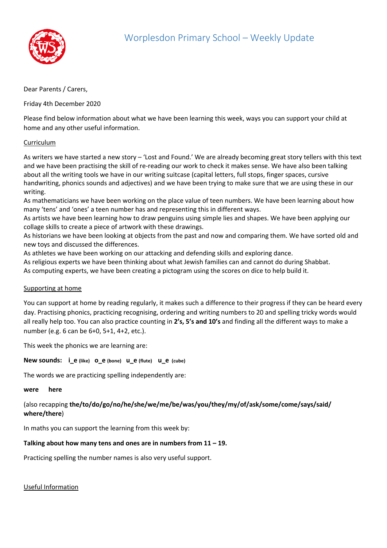

## Dear Parents / Carers,

Friday 4th December 2020

Please find below information about what we have been learning this week, ways you can support your child at home and any other useful information.

# Curriculum

As writers we have started a new story – 'Lost and Found.' We are already becoming great story tellers with this text and we have been practising the skill of re-reading our work to check it makes sense. We have also been talking about all the writing tools we have in our writing suitcase (capital letters, full stops, finger spaces, cursive handwriting, phonics sounds and adjectives) and we have been trying to make sure that we are using these in our writing.

As mathematicians we have been working on the place value of teen numbers. We have been learning about how many 'tens' and 'ones' a teen number has and representing this in different ways.

As artists we have been learning how to draw penguins using simple lies and shapes. We have been applying our collage skills to create a piece of artwork with these drawings.

As historians we have been looking at objects from the past and now and comparing them. We have sorted old and new toys and discussed the differences.

As athletes we have been working on our attacking and defending skills and exploring dance.

As religious experts we have been thinking about what Jewish families can and cannot do during Shabbat. As computing experts, we have been creating a pictogram using the scores on dice to help build it.

#### Supporting at home

You can support at home by reading regularly, it makes such a difference to their progress if they can be heard every day. Practising phonics, practicing recognising, ordering and writing numbers to 20 and spelling tricky words would all really help too. You can also practice counting in **2's, 5's and 10's** and finding all the different ways to make a number (e.g. 6 can be 6+0, 5+1, 4+2, etc.).

This week the phonics we are learning are:

**New sounds: i\_e (like) o\_e (bone) u\_e (flute) u\_e (cube)** 

The words we are practicing spelling independently are:

#### **were here**

# (also recapping **the/to/do/go/no/he/she/we/me/be/was/you/they/my/of/ask/some/come/says/said/ where/there**)

In maths you can support the learning from this week by:

# **Talking about how many tens and ones are in numbers from 11 – 19.**

Practicing spelling the number names is also very useful support.

Useful Information